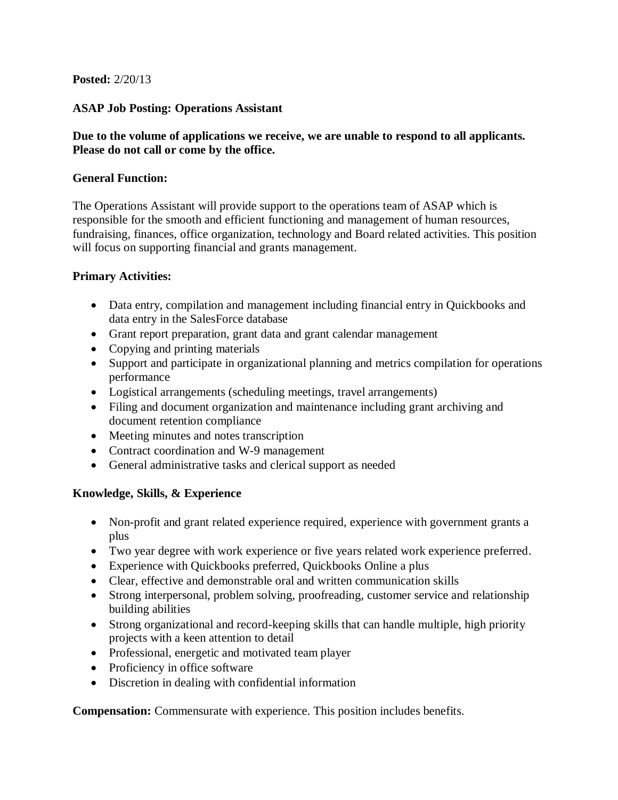## **Posted:** 2/20/13

## **ASAP Job Posting: Operations Assistant**

## **Due to the volume of applications we receive, we are unable to respond to all applicants. Please do not call or come by the office.**

#### **General Function:**

The Operations Assistant will provide support to the operations team of ASAP which is responsible for the smooth and efficient functioning and management of human resources, fundraising, finances, office organization, technology and Board related activities. This position will focus on supporting financial and grants management.

#### **Primary Activities:**

- Data entry, compilation and management including financial entry in Quickbooks and data entry in the SalesForce database
- Grant report preparation, grant data and grant calendar management
- Copying and printing materials
- Support and participate in organizational planning and metrics compilation for operations performance
- Logistical arrangements (scheduling meetings, travel arrangements)
- Filing and document organization and maintenance including grant archiving and document retention compliance
- Meeting minutes and notes transcription
- Contract coordination and W-9 management
- General administrative tasks and clerical support as needed

#### **Knowledge, Skills, & Experience**

- Non-profit and grant related experience required, experience with government grants a plus
- Two year degree with work experience or five years related work experience preferred.
- Experience with Quickbooks preferred, Quickbooks Online a plus
- Clear, effective and demonstrable oral and written communication skills
- Strong interpersonal, problem solving, proofreading, customer service and relationship building abilities
- Strong organizational and record-keeping skills that can handle multiple, high priority projects with a keen attention to detail
- Professional, energetic and motivated team player
- Proficiency in office software
- Discretion in dealing with confidential information

**Compensation:** Commensurate with experience. This position includes benefits.